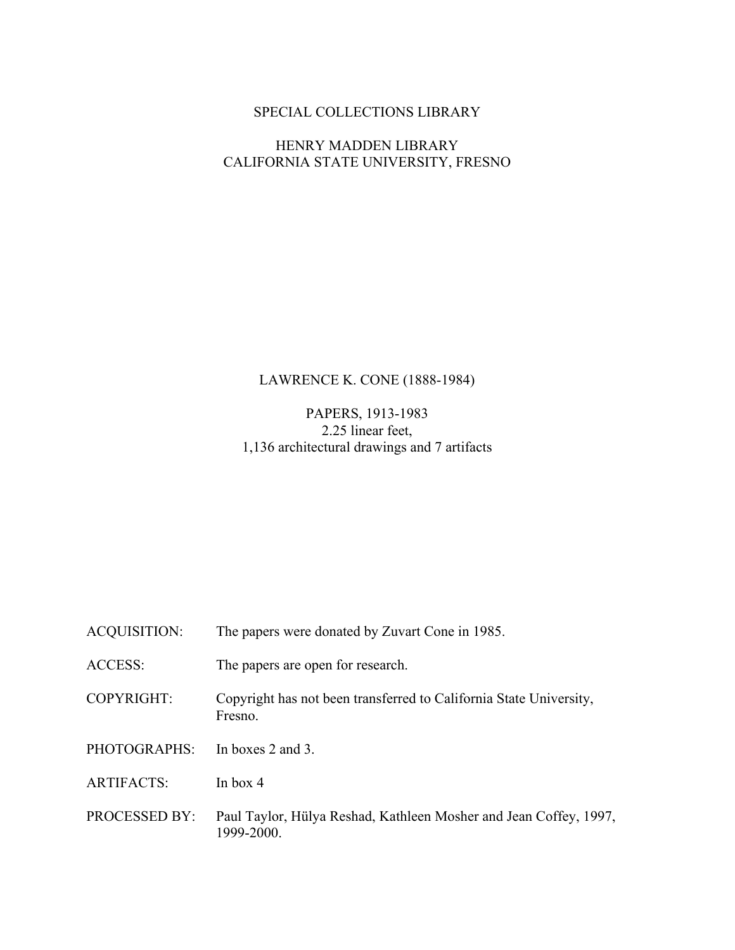### SPECIAL COLLECTIONS LIBRARY

### HENRY MADDEN LIBRARY CALIFORNIA STATE UNIVERSITY, FRESNO

## LAWRENCE K. CONE (1888-1984)

### PAPERS, 1913-1983 2.25 linear feet, 1,136 architectural drawings and 7 artifacts

| ACQUISITION:      | The papers were donated by Zuvart Cone in 1985.                                 |
|-------------------|---------------------------------------------------------------------------------|
| ACCESS:           | The papers are open for research.                                               |
| COPYRIGHT:        | Copyright has not been transferred to California State University,<br>Fresno.   |
| PHOTOGRAPHS:      | In boxes 2 and 3.                                                               |
| <b>ARTIFACTS:</b> | In box $4$                                                                      |
| PROCESSED BY:     | Paul Taylor, Hülya Reshad, Kathleen Mosher and Jean Coffey, 1997,<br>1999-2000. |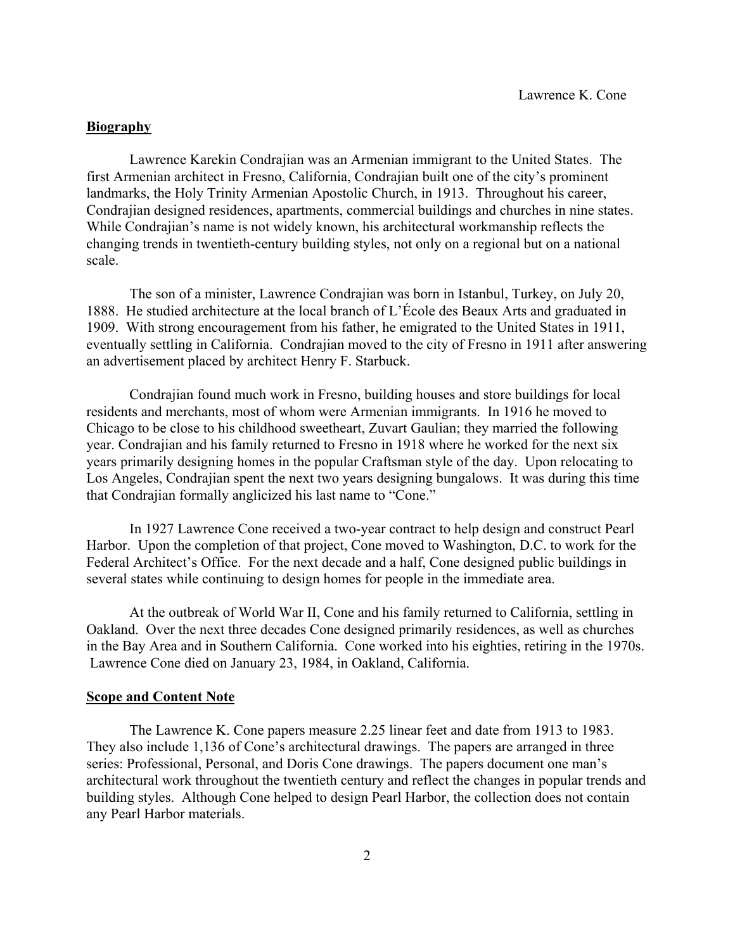#### **Biography**

Lawrence Karekin Condrajian was an Armenian immigrant to the United States. The first Armenian architect in Fresno, California, Condrajian built one of the city's prominent landmarks, the Holy Trinity Armenian Apostolic Church, in 1913. Throughout his career, Condrajian designed residences, apartments, commercial buildings and churches in nine states. While Condrajian's name is not widely known, his architectural workmanship reflects the changing trends in twentieth-century building styles, not only on a regional but on a national scale.

The son of a minister, Lawrence Condrajian was born in Istanbul, Turkey, on July 20, 1888. He studied architecture at the local branch of L'École des Beaux Arts and graduated in 1909. With strong encouragement from his father, he emigrated to the United States in 1911, eventually settling in California. Condrajian moved to the city of Fresno in 1911 after answering an advertisement placed by architect Henry F. Starbuck.

Condrajian found much work in Fresno, building houses and store buildings for local residents and merchants, most of whom were Armenian immigrants. In 1916 he moved to Chicago to be close to his childhood sweetheart, Zuvart Gaulian; they married the following year. Condrajian and his family returned to Fresno in 1918 where he worked for the next six years primarily designing homes in the popular Craftsman style of the day. Upon relocating to Los Angeles, Condrajian spent the next two years designing bungalows. It was during this time that Condrajian formally anglicized his last name to "Cone."

In 1927 Lawrence Cone received a two-year contract to help design and construct Pearl Harbor. Upon the completion of that project, Cone moved to Washington, D.C. to work for the Federal Architect's Office. For the next decade and a half, Cone designed public buildings in several states while continuing to design homes for people in the immediate area.

At the outbreak of World War II, Cone and his family returned to California, settling in Oakland. Over the next three decades Cone designed primarily residences, as well as churches in the Bay Area and in Southern California. Cone worked into his eighties, retiring in the 1970s. Lawrence Cone died on January 23, 1984, in Oakland, California.

#### **Scope and Content Note**

The Lawrence K. Cone papers measure 2.25 linear feet and date from 1913 to 1983. They also include 1,136 of Cone's architectural drawings. The papers are arranged in three series: Professional, Personal, and Doris Cone drawings. The papers document one man's architectural work throughout the twentieth century and reflect the changes in popular trends and building styles. Although Cone helped to design Pearl Harbor, the collection does not contain any Pearl Harbor materials.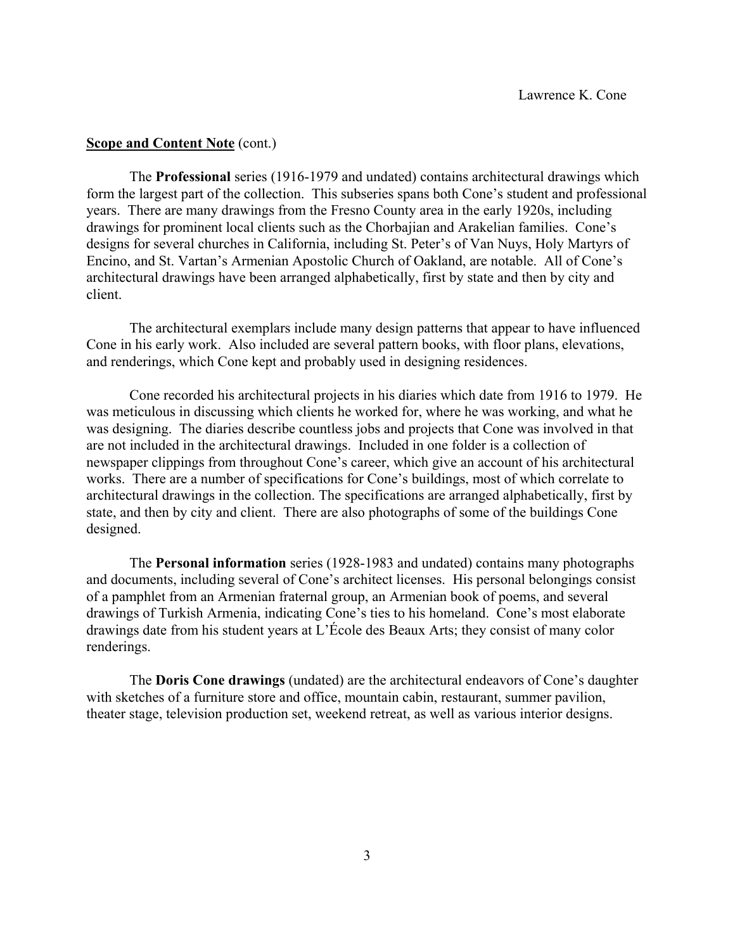#### **<u>Scope and Content Note</u>** (cont.)

The **Professional** series (1916-1979 and undated) contains architectural drawings which form the largest part of the collection. This subseries spans both Cone's student and professional years. There are many drawings from the Fresno County area in the early 1920s, including drawings for prominent local clients such as the Chorbajian and Arakelian families. Cone's designs for several churches in California, including St. Peter's of Van Nuys, Holy Martyrs of Encino, and St. Vartan's Armenian Apostolic Church of Oakland, are notable. All of Cone's architectural drawings have been arranged alphabetically, first by state and then by city and client.

The architectural exemplars include many design patterns that appear to have influenced Cone in his early work. Also included are several pattern books, with floor plans, elevations, and renderings, which Cone kept and probably used in designing residences.

Cone recorded his architectural projects in his diaries which date from 1916 to 1979. He was meticulous in discussing which clients he worked for, where he was working, and what he was designing. The diaries describe countless jobs and projects that Cone was involved in that are not included in the architectural drawings. Included in one folder is a collection of newspaper clippings from throughout Cone's career, which give an account of his architectural works. There are a number of specifications for Cone's buildings, most of which correlate to architectural drawings in the collection. The specifications are arranged alphabetically, first by state, and then by city and client. There are also photographs of some of the buildings Cone designed.

The **Personal information** series (1928-1983 and undated) contains many photographs and documents, including several of Cone's architect licenses. His personal belongings consist of a pamphlet from an Armenian fraternal group, an Armenian book of poems, and several drawings of Turkish Armenia, indicating Cone's ties to his homeland. Cone's most elaborate drawings date from his student years at L'École des Beaux Arts; they consist of many color renderings.

The **Doris Cone drawings** (undated) are the architectural endeavors of Cone's daughter with sketches of a furniture store and office, mountain cabin, restaurant, summer pavilion, theater stage, television production set, weekend retreat, as well as various interior designs.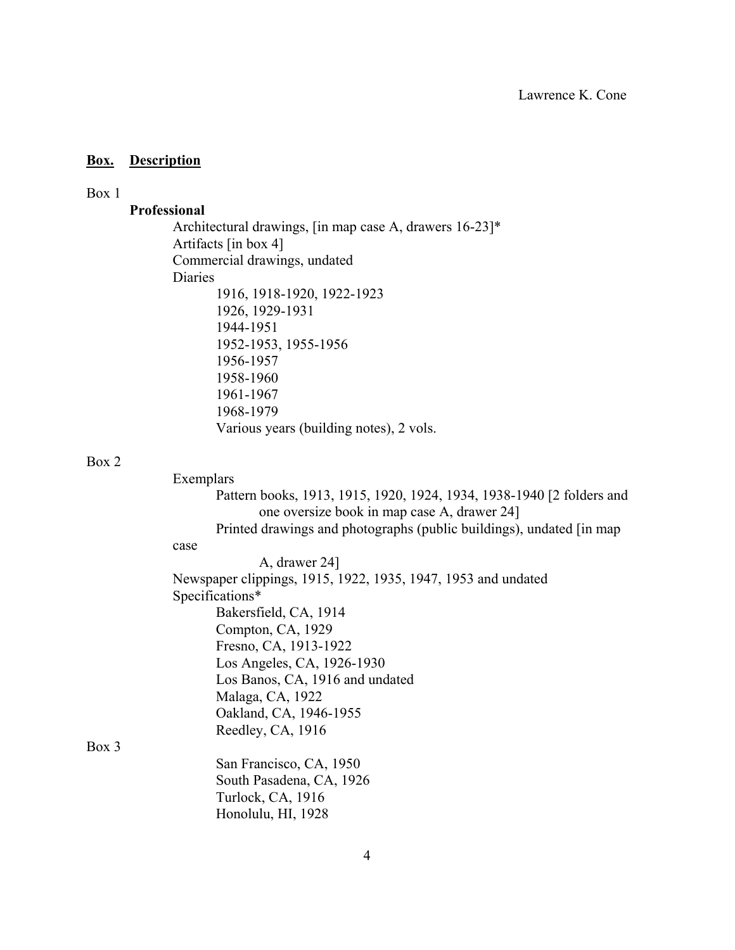#### **Box. Description**

#### Box 1

#### **Professional**

Architectural drawings, [in map case A, drawers 16-23]\* Artifacts [in box 4] Commercial drawings, undated Diaries 1916, 1918-1920, 1922-1923 1926, 1929-1931 1944-1951 1952-1953, 1955-1956 1956-1957 1958-1960 1961-1967 1968-1979 Various years (building notes), 2 vols.

#### Box 2

Box 3

 Exemplars Pattern books, 1913, 1915, 1920, 1924, 1934, 1938-1940 [2 folders and one oversize book in map case A, drawer 24] Printed drawings and photographs (public buildings), undated [in map case A, drawer 24] Newspaper clippings, 1915, 1922, 1935, 1947, 1953 and undated Specifications\* Bakersfield, CA, 1914 Compton, CA, 1929 Fresno, CA, 1913-1922 Los Angeles, CA, 1926-1930 Los Banos, CA, 1916 and undated Malaga, CA, 1922 Oakland, CA, 1946-1955 Reedley, CA, 1916 San Francisco, CA, 1950 South Pasadena, CA, 1926 Turlock, CA, 1916 Honolulu, HI, 1928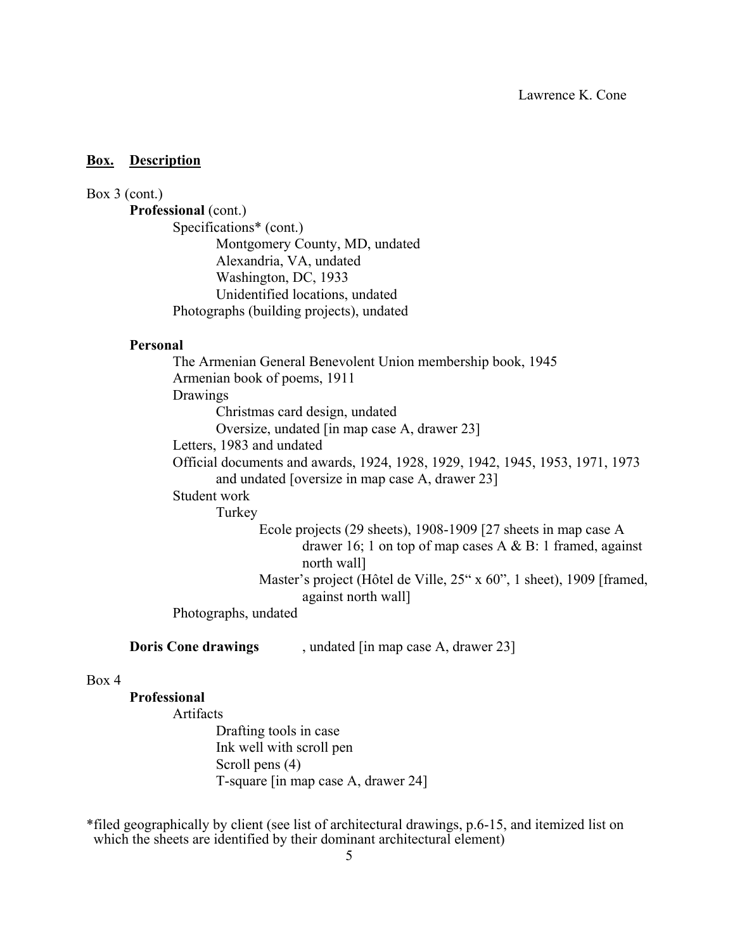#### **Box. Description**

### Box 3 (cont.)

**Professional** (cont.) Specifications\* (cont.) Montgomery County, MD, undated Alexandria, VA, undated Washington, DC, 1933 Unidentified locations, undated Photographs (building projects), undated

#### **Personal**

The Armenian General Benevolent Union membership book, 1945 Armenian book of poems, 1911 Drawings Christmas card design, undated Oversize, undated [in map case A, drawer 23] Letters, 1983 and undated Official documents and awards, 1924, 1928, 1929, 1942, 1945, 1953, 1971, 1973 and undated [oversize in map case A, drawer 23] Student work Turkey Ecole projects (29 sheets), 1908-1909 [27 sheets in map case A drawer 16; 1 on top of map cases A & B: 1 framed, against north wall] Master's project (Hôtel de Ville, 25" x 60", 1 sheet), 1909 [framed, against north wall] Photographs, undated

**Doris Cone drawings** , undated [in map case A, drawer 23]

#### Box 4

#### **Professional**

Artifacts Drafting tools in case Ink well with scroll pen Scroll pens (4) T-square [in map case A, drawer 24]

\*filed geographically by client (see list of architectural drawings, p.6-15, and itemized list on which the sheets are identified by their dominant architectural element)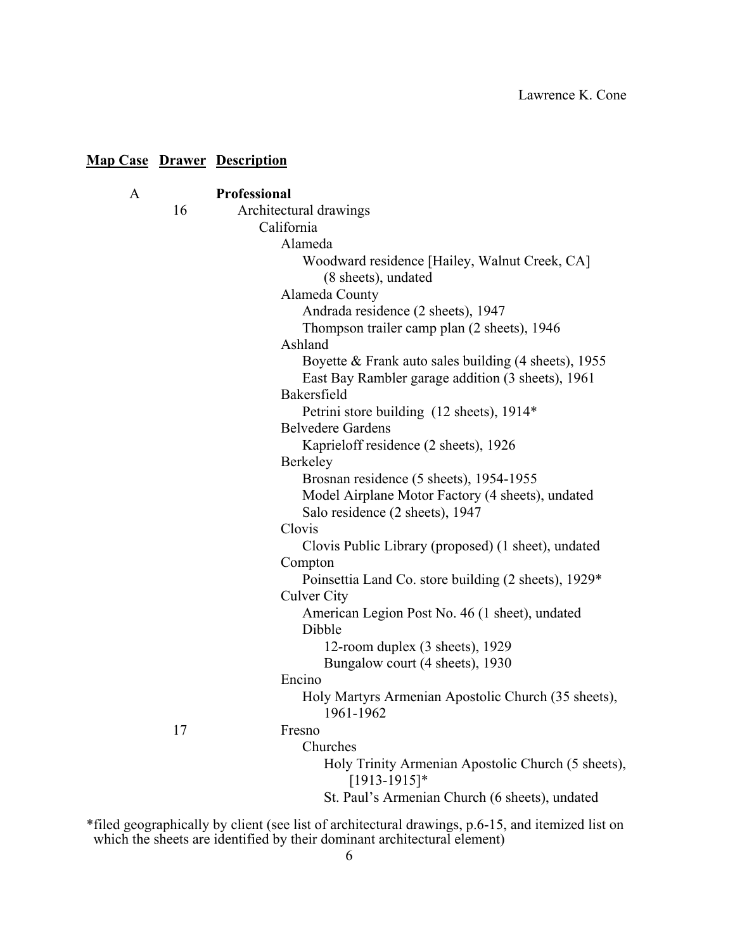|   |    | <b>Map Case Drawer Description</b>                                                                        |
|---|----|-----------------------------------------------------------------------------------------------------------|
| A |    | <b>Professional</b>                                                                                       |
|   | 16 | Architectural drawings                                                                                    |
|   |    | California                                                                                                |
|   |    | Alameda                                                                                                   |
|   |    | Woodward residence [Hailey, Walnut Creek, CA]<br>(8 sheets), undated                                      |
|   |    | Alameda County                                                                                            |
|   |    | Andrada residence (2 sheets), 1947                                                                        |
|   |    | Thompson trailer camp plan (2 sheets), 1946                                                               |
|   |    | Ashland                                                                                                   |
|   |    | Boyette & Frank auto sales building (4 sheets), 1955<br>East Bay Rambler garage addition (3 sheets), 1961 |
|   |    | Bakersfield                                                                                               |
|   |    | Petrini store building (12 sheets), 1914*                                                                 |
|   |    | <b>Belvedere Gardens</b>                                                                                  |
|   |    | Kaprieloff residence (2 sheets), 1926                                                                     |
|   |    | <b>Berkeley</b>                                                                                           |
|   |    | Brosnan residence (5 sheets), 1954-1955                                                                   |
|   |    | Model Airplane Motor Factory (4 sheets), undated                                                          |
|   |    | Salo residence (2 sheets), 1947                                                                           |
|   |    | Clovis                                                                                                    |
|   |    | Clovis Public Library (proposed) (1 sheet), undated                                                       |
|   |    | Compton                                                                                                   |
|   |    | Poinsettia Land Co. store building (2 sheets), 1929*                                                      |
|   |    | <b>Culver City</b>                                                                                        |
|   |    | American Legion Post No. 46 (1 sheet), undated<br>Dibble                                                  |
|   |    | 12-room duplex (3 sheets), 1929                                                                           |
|   |    | Bungalow court (4 sheets), 1930                                                                           |
|   |    | Encino                                                                                                    |
|   |    | Holy Martyrs Armenian Apostolic Church (35 sheets),<br>1961-1962                                          |
|   | 17 | Fresno                                                                                                    |
|   |    | Churches                                                                                                  |
|   |    | Holy Trinity Armenian Apostolic Church (5 sheets),<br>$[1913-1915]*$                                      |
|   |    | St. Paul's Armenian Church (6 sheets), undated                                                            |

\*filed geographically by client (see list of architectural drawings, p.6-15, and itemized list on which the sheets are identified by their dominant architectural element)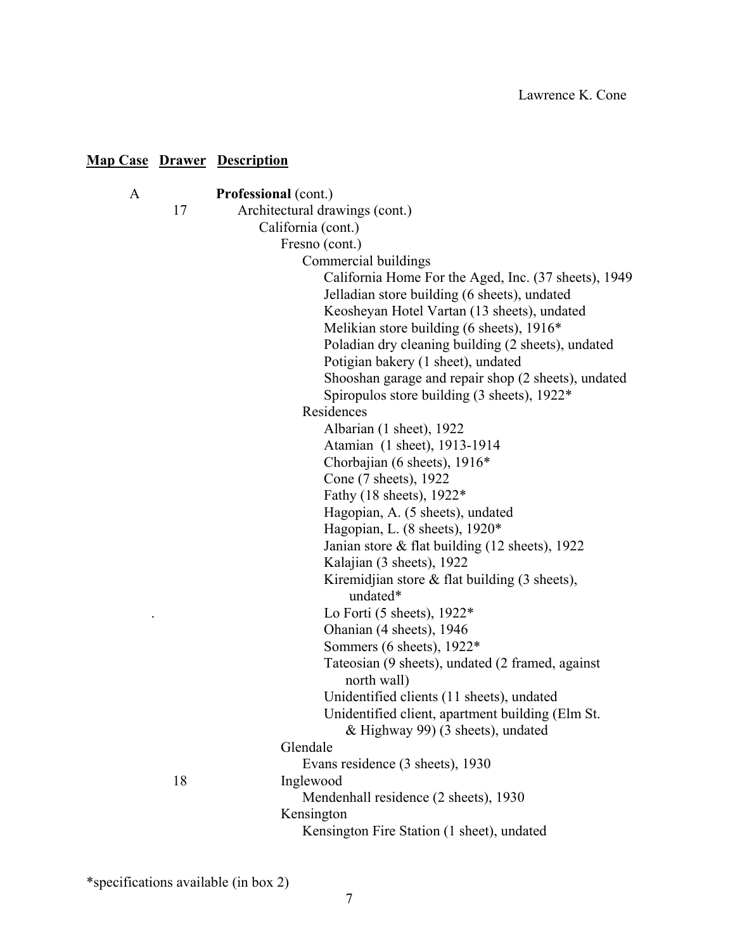| A |    | <b>Professional (cont.)</b>                            |
|---|----|--------------------------------------------------------|
|   | 17 | Architectural drawings (cont.)                         |
|   |    | California (cont.)                                     |
|   |    | Fresno (cont.)                                         |
|   |    | Commercial buildings                                   |
|   |    | California Home For the Aged, Inc. (37 sheets), 1949   |
|   |    | Jelladian store building (6 sheets), undated           |
|   |    | Keosheyan Hotel Vartan (13 sheets), undated            |
|   |    | Melikian store building (6 sheets), 1916*              |
|   |    | Poladian dry cleaning building (2 sheets), undated     |
|   |    | Potigian bakery (1 sheet), undated                     |
|   |    | Shooshan garage and repair shop (2 sheets), undated    |
|   |    | Spiropulos store building $(3 \text{ sheets})$ , 1922* |
|   |    | Residences                                             |
|   |    | Albarian (1 sheet), 1922                               |
|   |    | Atamian (1 sheet), 1913-1914                           |
|   |    | Chorbajian (6 sheets), 1916*                           |
|   |    | Cone (7 sheets), 1922                                  |
|   |    | Fathy (18 sheets), 1922*                               |
|   |    | Hagopian, A. (5 sheets), undated                       |
|   |    | Hagopian, L. (8 sheets), 1920*                         |
|   |    | Janian store $\&$ flat building (12 sheets), 1922      |
|   |    | Kalajian (3 sheets), 1922                              |
|   |    | Kiremidjian store $\&$ flat building (3 sheets),       |
|   |    | undated*                                               |
|   |    | Lo Forti (5 sheets), $1922*$                           |
|   |    | Ohanian (4 sheets), 1946                               |
|   |    | Sommers (6 sheets), 1922*                              |
|   |    | Tateosian (9 sheets), undated (2 framed, against       |
|   |    | north wall)                                            |
|   |    | Unidentified clients (11 sheets), undated              |
|   |    | Unidentified client, apartment building (Elm St.       |
|   |    | & Highway 99) (3 sheets), undated                      |
|   |    | Glendale                                               |
|   |    | Evans residence (3 sheets), 1930                       |
|   | 18 | Inglewood                                              |
|   |    | Mendenhall residence (2 sheets), 1930                  |
|   |    | Kensington                                             |
|   |    | Kensington Fire Station (1 sheet), undated             |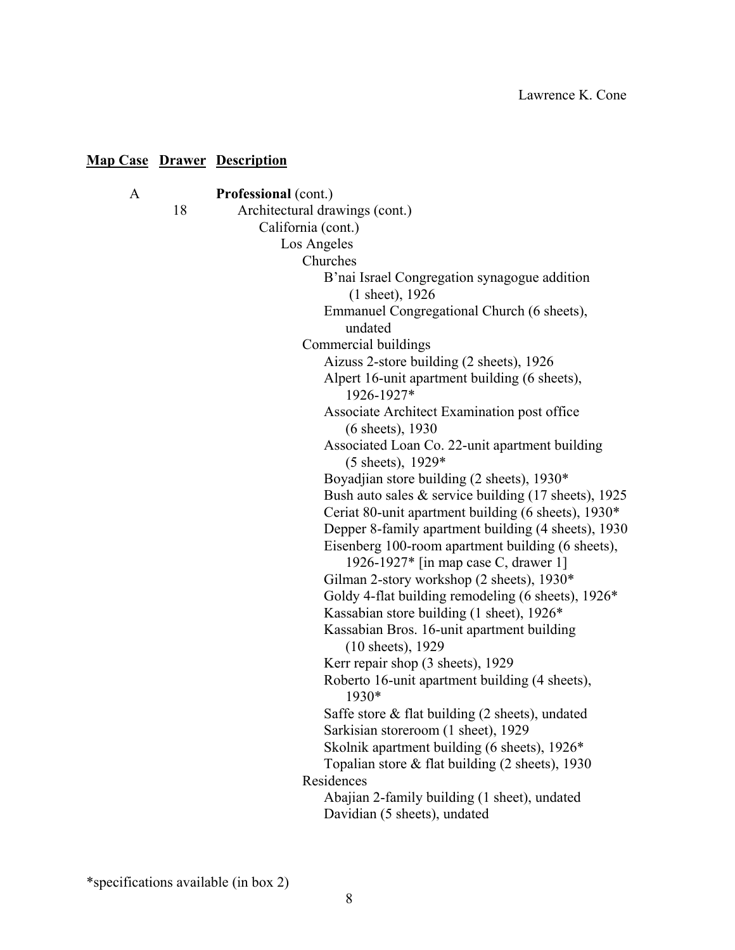|    | <b>Professional (cont.)</b>                             |
|----|---------------------------------------------------------|
| 18 | Architectural drawings (cont.)                          |
|    | California (cont.)                                      |
|    | Los Angeles                                             |
|    | Churches                                                |
|    | B'nai Israel Congregation synagogue addition            |
|    | $(1$ sheet), 1926                                       |
|    | Emmanuel Congregational Church (6 sheets),              |
|    | undated                                                 |
|    | Commercial buildings                                    |
|    | Aizuss 2-store building (2 sheets), 1926                |
|    | Alpert 16-unit apartment building (6 sheets),           |
|    | 1926-1927*                                              |
|    | Associate Architect Examination post office             |
|    | (6 sheets), 1930                                        |
|    | Associated Loan Co. 22-unit apartment building          |
|    | $(5 \text{ sheets})$ , 1929*                            |
|    | Boyadjian store building (2 sheets), 1930*              |
|    | Bush auto sales $&$ service building (17 sheets), 1925  |
|    | Ceriat 80-unit apartment building (6 sheets), 1930*     |
|    | Depper 8-family apartment building (4 sheets), 1930     |
|    | Eisenberg 100-room apartment building (6 sheets),       |
|    | 1926-1927* [in map case C, drawer 1]                    |
|    | Gilman 2-story workshop (2 sheets), 1930*               |
|    | Goldy 4-flat building remodeling (6 sheets), 1926*      |
|    | Kassabian store building (1 sheet), 1926*               |
|    | Kassabian Bros. 16-unit apartment building              |
|    | (10 sheets), 1929                                       |
|    | Kerr repair shop (3 sheets), 1929                       |
|    | Roberto 16-unit apartment building (4 sheets),<br>1930* |
|    | Saffe store $\&$ flat building (2 sheets), undated      |
|    | Sarkisian storeroom (1 sheet), 1929                     |
|    | Skolnik apartment building (6 sheets), 1926*            |
|    | Topalian store & flat building (2 sheets), 1930         |
|    | Residences                                              |
|    | Abajian 2-family building (1 sheet), undated            |
|    | Davidian (5 sheets), undated                            |
|    |                                                         |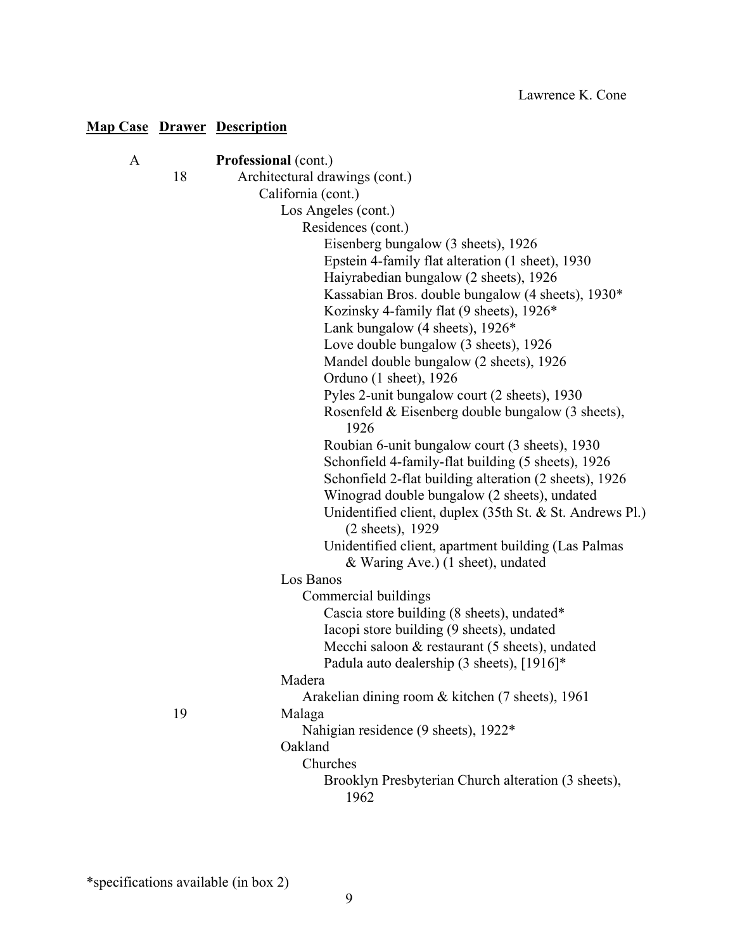| A |    | Professional (cont.)                                      |
|---|----|-----------------------------------------------------------|
|   | 18 | Architectural drawings (cont.)                            |
|   |    | California (cont.)                                        |
|   |    | Los Angeles (cont.)                                       |
|   |    | Residences (cont.)                                        |
|   |    | Eisenberg bungalow (3 sheets), 1926                       |
|   |    | Epstein 4-family flat alteration (1 sheet), 1930          |
|   |    | Haiyrabedian bungalow (2 sheets), 1926                    |
|   |    | Kassabian Bros. double bungalow (4 sheets), 1930*         |
|   |    | Kozinsky 4-family flat (9 sheets), 1926*                  |
|   |    | Lank bungalow (4 sheets), $1926*$                         |
|   |    | Love double bungalow (3 sheets), 1926                     |
|   |    | Mandel double bungalow (2 sheets), 1926                   |
|   |    | Orduno (1 sheet), 1926                                    |
|   |    | Pyles 2-unit bungalow court (2 sheets), 1930              |
|   |    | Rosenfeld & Eisenberg double bungalow (3 sheets),<br>1926 |
|   |    | Roubian 6-unit bungalow court (3 sheets), 1930            |
|   |    | Schonfield 4-family-flat building (5 sheets), 1926        |
|   |    | Schonfield 2-flat building alteration (2 sheets), 1926    |
|   |    | Winograd double bungalow (2 sheets), undated              |
|   |    | Unidentified client, duplex (35th St. & St. Andrews Pl.)  |
|   |    | (2 sheets), 1929                                          |
|   |    | Unidentified client, apartment building (Las Palmas       |
|   |    | & Waring Ave.) (1 sheet), undated                         |
|   |    | Los Banos                                                 |
|   |    | Commercial buildings                                      |
|   |    | Cascia store building (8 sheets), undated*                |
|   |    | Iacopi store building (9 sheets), undated                 |
|   |    | Mecchi saloon & restaurant (5 sheets), undated            |
|   |    | Padula auto dealership (3 sheets), [1916]*                |
|   |    | Madera                                                    |
|   |    | Arakelian dining room & kitchen (7 sheets), 1961          |
|   | 19 | Malaga                                                    |
|   |    | Nahigian residence (9 sheets), 1922*                      |
|   |    | Oakland                                                   |
|   |    | Churches                                                  |
|   |    | Brooklyn Presbyterian Church alteration (3 sheets),       |
|   |    | 1962                                                      |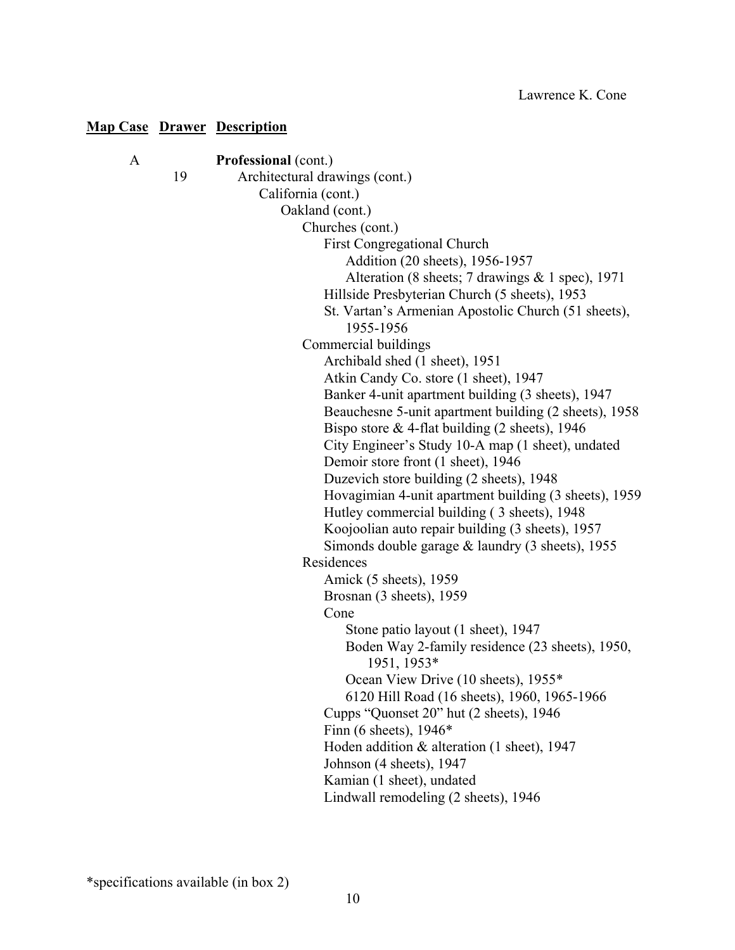| A |    | <b>Professional (cont.)</b>                                                           |
|---|----|---------------------------------------------------------------------------------------|
|   | 19 | Architectural drawings (cont.)                                                        |
|   |    | California (cont.)                                                                    |
|   |    | Oakland (cont.)                                                                       |
|   |    | Churches (cont.)                                                                      |
|   |    | <b>First Congregational Church</b>                                                    |
|   |    | Addition (20 sheets), 1956-1957                                                       |
|   |    | Alteration (8 sheets; 7 drawings & 1 spec), 1971                                      |
|   |    | Hillside Presbyterian Church (5 sheets), 1953                                         |
|   |    | St. Vartan's Armenian Apostolic Church (51 sheets),                                   |
|   |    | 1955-1956                                                                             |
|   |    | Commercial buildings                                                                  |
|   |    | Archibald shed (1 sheet), 1951                                                        |
|   |    | Atkin Candy Co. store (1 sheet), 1947                                                 |
|   |    | Banker 4-unit apartment building (3 sheets), 1947                                     |
|   |    | Beauchesne 5-unit apartment building (2 sheets), 1958                                 |
|   |    | Bispo store $&$ 4-flat building (2 sheets), 1946                                      |
|   |    | City Engineer's Study 10-A map (1 sheet), undated                                     |
|   |    | Demoir store front (1 sheet), 1946                                                    |
|   |    | Duzevich store building (2 sheets), 1948                                              |
|   |    | Hovagimian 4-unit apartment building (3 sheets), 1959                                 |
|   |    | Hutley commercial building (3 sheets), 1948                                           |
|   |    | Koojoolian auto repair building (3 sheets), 1957                                      |
|   |    | Simonds double garage $&$ laundry (3 sheets), 1955                                    |
|   |    | Residences                                                                            |
|   |    | Amick (5 sheets), 1959                                                                |
|   |    | Brosnan (3 sheets), 1959<br>Cone                                                      |
|   |    |                                                                                       |
|   |    | Stone patio layout (1 sheet), 1947<br>Boden Way 2-family residence (23 sheets), 1950, |
|   |    | 1951, 1953*                                                                           |
|   |    | Ocean View Drive (10 sheets), 1955*                                                   |
|   |    | 6120 Hill Road (16 sheets), 1960, 1965-1966                                           |
|   |    | Cupps "Quonset 20" hut (2 sheets), 1946                                               |
|   |    | Finn (6 sheets), $1946*$                                                              |
|   |    | Hoden addition $&$ alteration (1 sheet), 1947                                         |
|   |    | Johnson (4 sheets), 1947                                                              |
|   |    | Kamian (1 sheet), undated                                                             |
|   |    | Lindwall remodeling (2 sheets), 1946                                                  |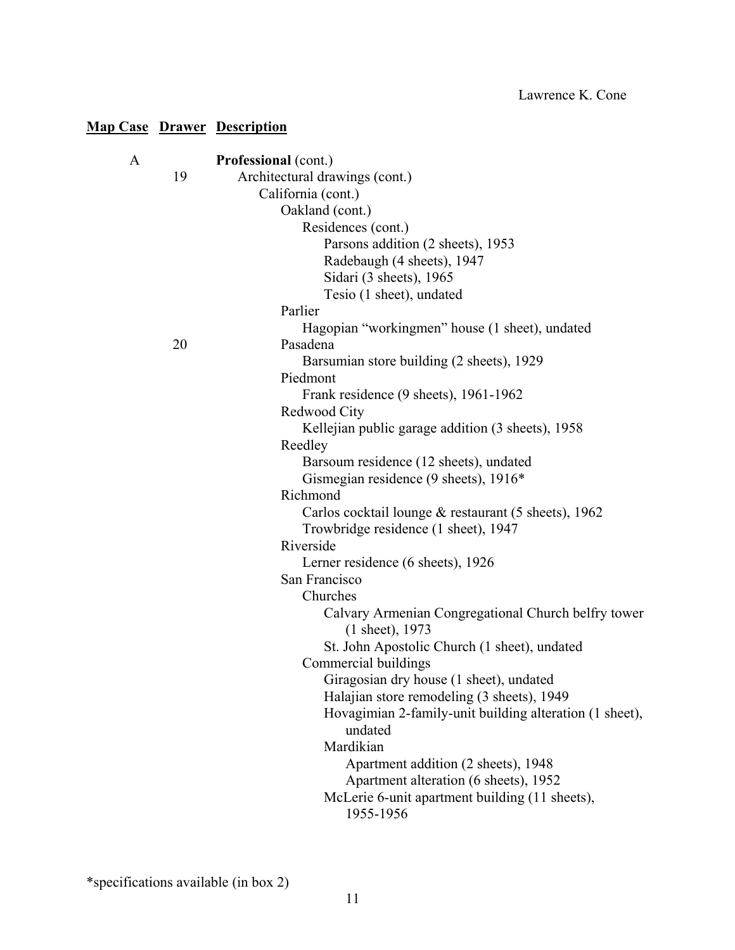| A |    | Professional (cont.)                                                   |
|---|----|------------------------------------------------------------------------|
|   | 19 | Architectural drawings (cont.)                                         |
|   |    | California (cont.)                                                     |
|   |    | Oakland (cont.)                                                        |
|   |    | Residences (cont.)                                                     |
|   |    | Parsons addition (2 sheets), 1953                                      |
|   |    | Radebaugh (4 sheets), 1947                                             |
|   |    | Sidari (3 sheets), 1965                                                |
|   |    | Tesio (1 sheet), undated                                               |
|   |    | Parlier                                                                |
|   |    | Hagopian "workingmen" house (1 sheet), undated                         |
|   | 20 | Pasadena                                                               |
|   |    | Barsumian store building (2 sheets), 1929                              |
|   |    | Piedmont                                                               |
|   |    | Frank residence (9 sheets), 1961-1962                                  |
|   |    | Redwood City                                                           |
|   |    | Kellejian public garage addition (3 sheets), 1958                      |
|   |    | Reedley                                                                |
|   |    | Barsoum residence (12 sheets), undated                                 |
|   |    | Gismegian residence (9 sheets), 1916*                                  |
|   |    | Richmond                                                               |
|   |    | Carlos cocktail lounge $&$ restaurant (5 sheets), 1962                 |
|   |    | Trowbridge residence (1 sheet), 1947                                   |
|   |    | Riverside                                                              |
|   |    | Lerner residence (6 sheets), 1926                                      |
|   |    | San Francisco                                                          |
|   |    | Churches                                                               |
|   |    | Calvary Armenian Congregational Church belfry tower<br>(1 sheet), 1973 |
|   |    | St. John Apostolic Church (1 sheet), undated                           |
|   |    | Commercial buildings                                                   |
|   |    | Giragosian dry house (1 sheet), undated                                |
|   |    | Halajian store remodeling (3 sheets), 1949                             |
|   |    | Hovagimian 2-family-unit building alteration (1 sheet),<br>undated     |
|   |    | Mardikian                                                              |
|   |    | Apartment addition (2 sheets), 1948                                    |
|   |    | Apartment alteration (6 sheets), 1952                                  |
|   |    | McLerie 6-unit apartment building (11 sheets),                         |
|   |    | 1955-1956                                                              |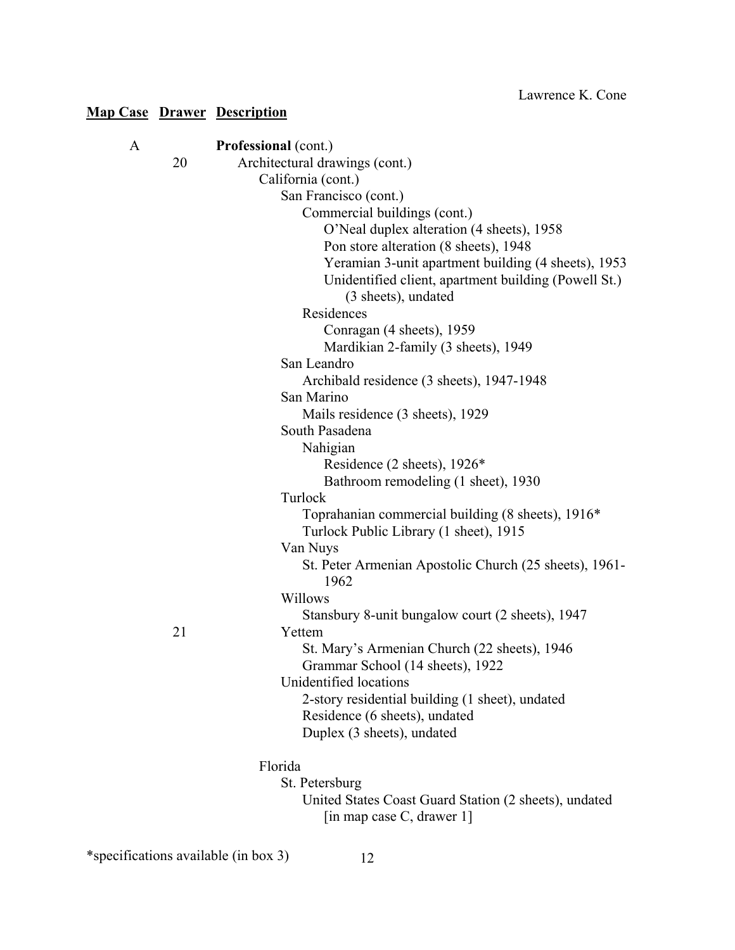| A |    | Professional (cont.)                                       |
|---|----|------------------------------------------------------------|
|   | 20 | Architectural drawings (cont.)                             |
|   |    | California (cont.)                                         |
|   |    | San Francisco (cont.)                                      |
|   |    | Commercial buildings (cont.)                               |
|   |    | O'Neal duplex alteration (4 sheets), 1958                  |
|   |    | Pon store alteration (8 sheets), 1948                      |
|   |    | Yeramian 3-unit apartment building (4 sheets), 1953        |
|   |    | Unidentified client, apartment building (Powell St.)       |
|   |    | (3 sheets), undated                                        |
|   |    | Residences                                                 |
|   |    | Conragan (4 sheets), 1959                                  |
|   |    | Mardikian 2-family (3 sheets), 1949                        |
|   |    | San Leandro                                                |
|   |    | Archibald residence (3 sheets), 1947-1948                  |
|   |    | San Marino                                                 |
|   |    | Mails residence (3 sheets), 1929                           |
|   |    | South Pasadena                                             |
|   |    | Nahigian                                                   |
|   |    | Residence (2 sheets), 1926*                                |
|   |    | Bathroom remodeling (1 sheet), 1930                        |
|   |    | Turlock                                                    |
|   |    | Toprahanian commercial building (8 sheets), 1916*          |
|   |    | Turlock Public Library (1 sheet), 1915                     |
|   |    | Van Nuys                                                   |
|   |    | St. Peter Armenian Apostolic Church (25 sheets), 1961-     |
|   |    | 1962                                                       |
|   |    | Willows                                                    |
|   |    | Stansbury 8-unit bungalow court (2 sheets), 1947           |
|   | 21 | Yettem                                                     |
|   |    | St. Mary's Armenian Church (22 sheets), 1946               |
|   |    | Grammar School (14 sheets), 1922<br>Unidentified locations |
|   |    |                                                            |
|   |    | 2-story residential building (1 sheet), undated            |
|   |    | Residence (6 sheets), undated                              |
|   |    | Duplex (3 sheets), undated                                 |
|   |    | Florida                                                    |
|   |    | St. Petersburg                                             |
|   |    | United States Coast Guard Station (2 sheets), undated      |
|   |    | [in map case C, drawer 1]                                  |

\*specifications available (in box 3) 12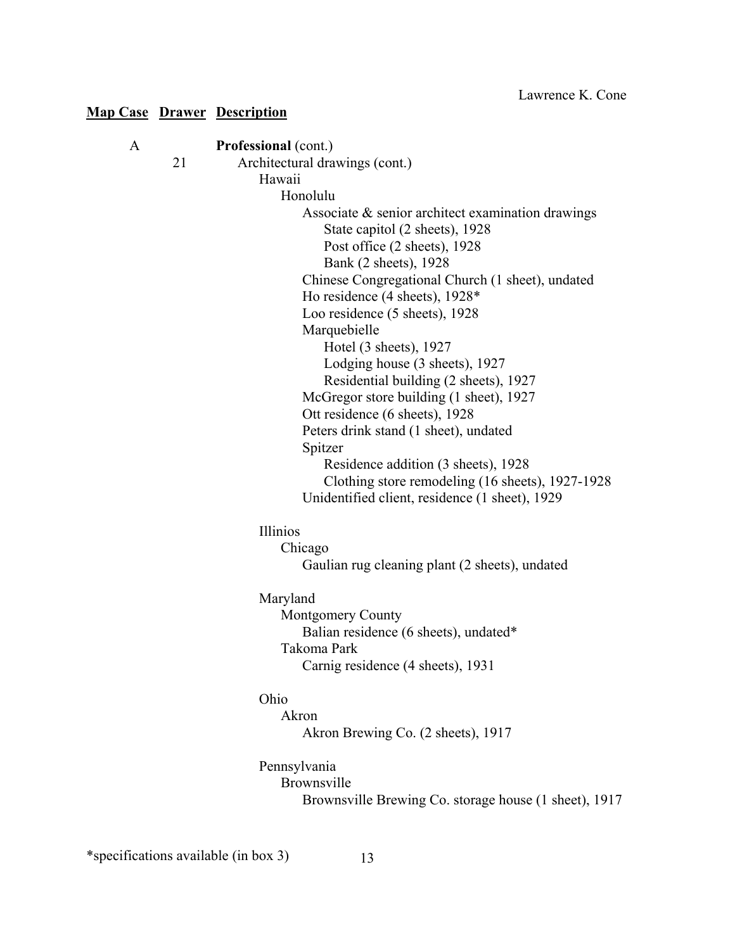| A |    | <b>Professional</b> (cont.)                           |
|---|----|-------------------------------------------------------|
|   | 21 | Architectural drawings (cont.)                        |
|   |    | Hawaii                                                |
|   |    | Honolulu                                              |
|   |    | Associate & senior architect examination drawings     |
|   |    | State capitol (2 sheets), 1928                        |
|   |    | Post office (2 sheets), 1928                          |
|   |    | Bank (2 sheets), 1928                                 |
|   |    | Chinese Congregational Church (1 sheet), undated      |
|   |    | Ho residence (4 sheets), 1928*                        |
|   |    | Loo residence (5 sheets), 1928                        |
|   |    | Marquebielle                                          |
|   |    | Hotel (3 sheets), 1927                                |
|   |    | Lodging house (3 sheets), 1927                        |
|   |    | Residential building (2 sheets), 1927                 |
|   |    | McGregor store building (1 sheet), 1927               |
|   |    | Ott residence (6 sheets), 1928                        |
|   |    | Peters drink stand (1 sheet), undated                 |
|   |    | Spitzer                                               |
|   |    | Residence addition (3 sheets), 1928                   |
|   |    | Clothing store remodeling (16 sheets), 1927-1928      |
|   |    | Unidentified client, residence (1 sheet), 1929        |
|   |    | Illinios                                              |
|   |    | Chicago                                               |
|   |    | Gaulian rug cleaning plant (2 sheets), undated        |
|   |    | Maryland                                              |
|   |    | <b>Montgomery County</b>                              |
|   |    | Balian residence (6 sheets), undated*                 |
|   |    | Takoma Park                                           |
|   |    | Carnig residence (4 sheets), 1931                     |
|   |    | Ohio                                                  |
|   |    | Akron                                                 |
|   |    | Akron Brewing Co. (2 sheets), 1917                    |
|   |    | Pennsylvania                                          |
|   |    | <b>Brownsville</b>                                    |
|   |    | Brownsville Brewing Co. storage house (1 sheet), 1917 |
|   |    |                                                       |
|   |    |                                                       |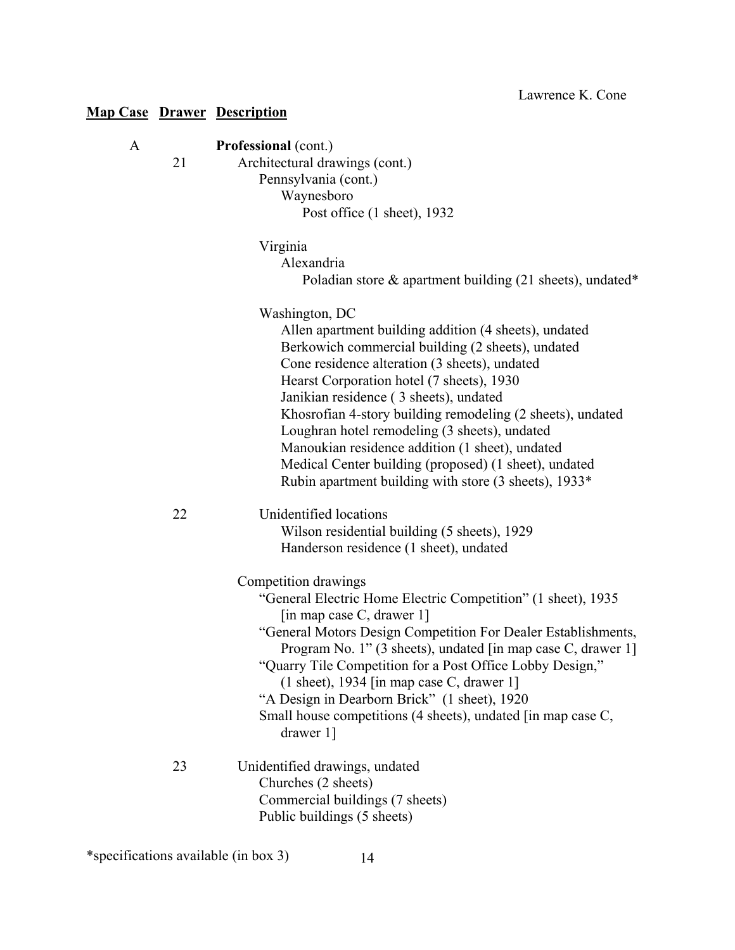| A | 21 | Professional (cont.)<br>Architectural drawings (cont.)<br>Pennsylvania (cont.)<br>Waynesboro<br>Post office (1 sheet), 1932                                                                                                                                                                                                                                                                                                                                                                                                                              |
|---|----|----------------------------------------------------------------------------------------------------------------------------------------------------------------------------------------------------------------------------------------------------------------------------------------------------------------------------------------------------------------------------------------------------------------------------------------------------------------------------------------------------------------------------------------------------------|
|   |    | Virginia<br>Alexandria<br>Poladian store $\&$ apartment building (21 sheets), undated*                                                                                                                                                                                                                                                                                                                                                                                                                                                                   |
|   |    | Washington, DC<br>Allen apartment building addition (4 sheets), undated<br>Berkowich commercial building (2 sheets), undated<br>Cone residence alteration (3 sheets), undated<br>Hearst Corporation hotel (7 sheets), 1930<br>Janikian residence (3 sheets), undated<br>Khosrofian 4-story building remodeling (2 sheets), undated<br>Loughran hotel remodeling (3 sheets), undated<br>Manoukian residence addition (1 sheet), undated<br>Medical Center building (proposed) (1 sheet), undated<br>Rubin apartment building with store (3 sheets), 1933* |
|   | 22 | Unidentified locations<br>Wilson residential building (5 sheets), 1929<br>Handerson residence (1 sheet), undated                                                                                                                                                                                                                                                                                                                                                                                                                                         |
|   |    | Competition drawings<br>"General Electric Home Electric Competition" (1 sheet), 1935<br>[in map case C, drawer 1]<br>"General Motors Design Competition For Dealer Establishments,<br>Program No. 1" (3 sheets), undated [in map case C, drawer 1]<br>"Quarry Tile Competition for a Post Office Lobby Design,"<br>$(1 \text{ sheet})$ , 1934 [in map case C, drawer 1]<br>"A Design in Dearborn Brick" (1 sheet), 1920<br>Small house competitions (4 sheets), undated [in map case C,<br>drawer 1]                                                     |
|   | 23 | Unidentified drawings, undated<br>Churches (2 sheets)<br>Commercial buildings (7 sheets)<br>Public buildings (5 sheets)                                                                                                                                                                                                                                                                                                                                                                                                                                  |

\*specifications available (in box 3) 14